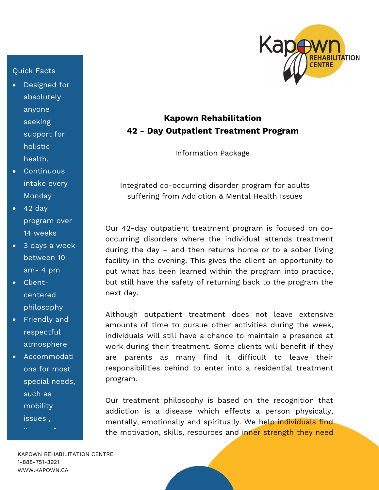## Quick Facts

- Designed for absolutely anyone seeking support for holistic health.
- **Continuous** intake every Monday
- $42 day$ program over 14 weeks
- 3 days a week between 10 am- 4 pm
- Clientcentered philosophy
- Friendly and respectful atmosphere
- Accommodati ons for most special needs, such as mobility issues ,

literacy & language



## **Kapown Rehabilitation 42 - Day Outpatient Treatment Program**

Information Package

Integrated co-occurring disorder program for adults suffering from Addiction & Mental Health Issues

Our 42-day outpatient treatment program is focused on cooccurring disorders where the individual attends treatment during the day – and then returns home or to a sober living facility in the evening. This gives the client an opportunity to put what has been learned within the program into practice, but still have the safety of returning back to the program the next day.

Although outpatient treatment does not leave extensive amounts of time to pursue other activities during the week, individuals will still have a chance to maintain a presence at work during their treatment. Some clients will benefit if they are parents as many find it difficult to leave their responsibilities behind to enter into a residential treatment program.

Our treatment philosophy is based on the recognition that addiction is a disease which effects a person physically, mentally, emotionally and spiritually. We help individuals find the motivation, skills, resources and inner strength they need

KAPOWN REHABILITATION CENTRE 1-888-751-3921 WWW.KAPOWN.CA